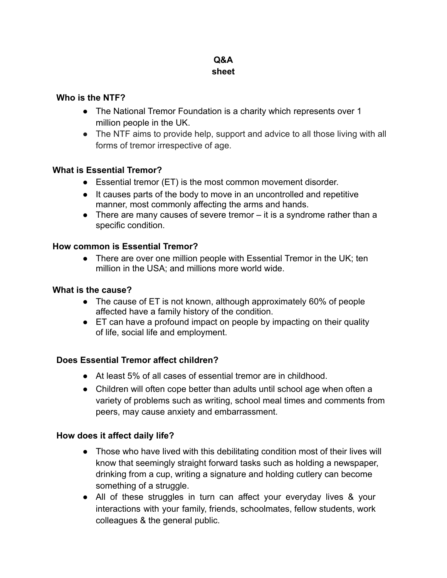# **Q&A sheet**

## **Who is the NTF?**

- The National Tremor Foundation is a charity which represents over 1 million people in the UK.
- The NTF aims to provide help, support and advice to all those living with all forms of tremor irrespective of age.

## **What is Essential Tremor?**

- Essential tremor (ET) is the most common movement disorder.
- It causes parts of the body to move in an uncontrolled and repetitive manner, most commonly affecting the arms and hands.
- There are many causes of severe tremor it is a syndrome rather than a specific condition.

## **How common is Essential Tremor?**

• There are over one million people with Essential Tremor in the UK; ten million in the USA; and millions more world wide.

#### **What is the cause?**

- The cause of ET is not known, although approximately 60% of people affected have a family history of the condition.
- ET can have a profound impact on people by impacting on their quality of life, social life and employment.

#### **Does Essential Tremor affect children?**

- At least 5% of all cases of essential tremor are in childhood.
- Children will often cope better than adults until school age when often a variety of problems such as writing, school meal times and comments from peers, may cause anxiety and embarrassment.

#### **How does it affect daily life?**

- Those who have lived with this debilitating condition most of their lives will know that seemingly straight forward tasks such as holding a newspaper, drinking from a cup, writing a signature and holding cutlery can become something of a struggle.
- All of these struggles in turn can affect your everyday lives & your interactions with your family, friends, schoolmates, fellow students, work colleagues & the general public.